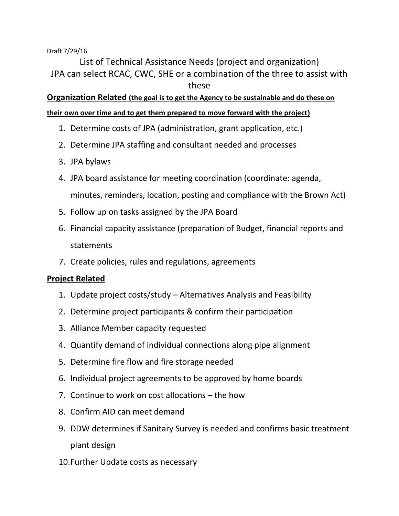## Draft 7/29/16

List of Technical Assistance Needs (project and organization) JPA can select RCAC, CWC, SHE or a combination of the three to assist with these

**Organization Related (the goal is to get the Agency to be sustainable and do these on** 

## **their own over time and to get them prepared to move forward with the project)**

- 1. Determine costs of JPA (administration, grant application, etc.)
- 2. Determine JPA staffing and consultant needed and processes
- 3. JPA bylaws
- 4. JPA board assistance for meeting coordination (coordinate: agenda, minutes, reminders, location, posting and compliance with the Brown Act)
- 5. Follow up on tasks assigned by the JPA Board
- 6. Financial capacity assistance (preparation of Budget, financial reports and statements
- 7. Create policies, rules and regulations, agreements

## **Project Related**

- 1. Update project costs/study Alternatives Analysis and Feasibility
- 2. Determine project participants & confirm their participation
- 3. Alliance Member capacity requested
- 4. Quantify demand of individual connections along pipe alignment
- 5. Determine fire flow and fire storage needed
- 6. Individual project agreements to be approved by home boards
- 7. Continue to work on cost allocations the how
- 8. Confirm AID can meet demand
- 9. DDW determines if Sanitary Survey is needed and confirms basic treatment plant design
- 10.Further Update costs as necessary